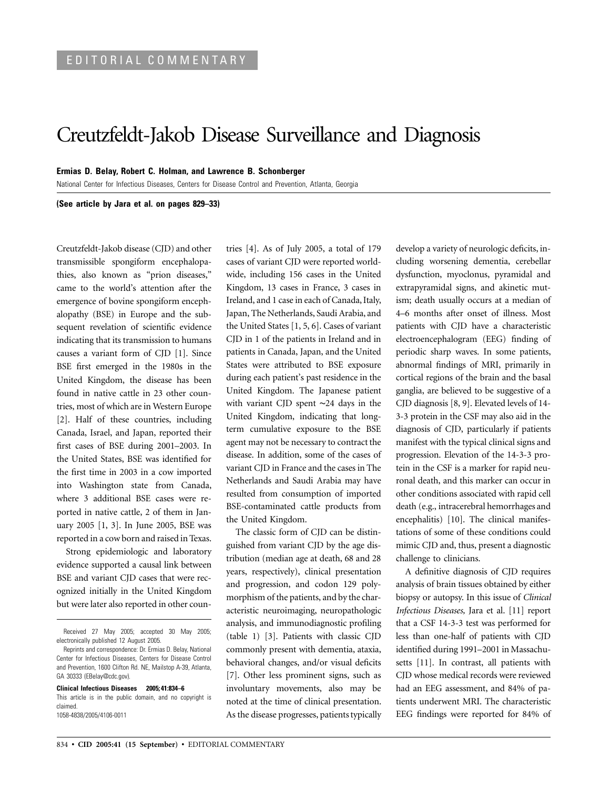## Creutzfeldt-Jakob Disease Surveillance and Diagnosis

## **Ermias D. Belay, Robert C. Holman, and Lawrence B. Schonberger**

National Center for Infectious Diseases, Centers for Disease Control and Prevention, Atlanta, Georgia

**(See article by Jara et al. on pages 829–33)** 

Creutzfeldt-Jakob disease (CJD) and other transmissible spongiform encephalopathies, also known as "prion diseases," came to the world's attention after the emergence of bovine spongiform encephalopathy (BSE) in Europe and the subsequent revelation of scientific evidence indicating that its transmission to humans causes a variant form of CJD [1]. Since BSE first emerged in the 1980s in the United Kingdom, the disease has been found in native cattle in 23 other countries, most of which are in Western Europe [2]. Half of these countries, including Canada, Israel, and Japan, reported their first cases of BSE during 2001–2003. In the United States, BSE was identified for the first time in 2003 in a cow imported into Washington state from Canada, where 3 additional BSE cases were reported in native cattle, 2 of them in January 2005 [1, 3]. In June 2005, BSE was reported in a cow born and raised in Texas.

Strong epidemiologic and laboratory evidence supported a causal link between BSE and variant CJD cases that were recognized initially in the United Kingdom but were later also reported in other coun-

**Clinical Infectious Diseases 2005; 41:834–6**  This article is in the public domain, and no copyright is claimed. 1058-4838/2005/4106-0011

tries [4]. As of July 2005, a total of 179 cases of variant CJD were reported worldwide, including 156 cases in the United Kingdom, 13 cases in France, 3 cases in Ireland, and 1 case in each of Canada, Italy, Japan, The Netherlands, Saudi Arabia, and the United States [1, 5, 6]. Cases of variant CJD in 1 of the patients in Ireland and in patients in Canada, Japan, and the United States were attributed to BSE exposure during each patient's past residence in the United Kingdom. The Japanese patient with variant CJD spent ∼24 days in the United Kingdom, indicating that longterm cumulative exposure to the BSE agent may not be necessary to contract the disease. In addition, some of the cases of variant CJD in France and the cases in The Netherlands and Saudi Arabia may have resulted from consumption of imported BSE-contaminated cattle products from the United Kingdom.

The classic form of CJD can be distinguished from variant CJD by the age distribution (median age at death, 68 and 28 years, respectively), clinical presentation and progression, and codon 129 polymorphism of the patients, and by the characteristic neuroimaging, neuropathologic analysis, and immunodiagnostic profiling (table 1) [3]. Patients with classic CJD commonly present with dementia, ataxia, behavioral changes, and/or visual deficits [7]. Other less prominent signs, such as involuntary movements, also may be noted at the time of clinical presentation. As the disease progresses, patients typically develop a variety of neurologic deficits, including worsening dementia, cerebellar dysfunction, myoclonus, pyramidal and extrapyramidal signs, and akinetic mutism; death usually occurs at a median of 4–6 months after onset of illness. Most patients with CJD have a characteristic electroencephalogram (EEG) finding of periodic sharp waves. In some patients, abnormal findings of MRI, primarily in cortical regions of the brain and the basal ganglia, are believed to be suggestive of a CJD diagnosis [8, 9]. Elevated levels of 14 3-3 protein in the CSF may also aid in the diagnosis of CJD, particularly if patients manifest with the typical clinical signs and progression. Elevation of the 14-3-3 protein in the CSF is a marker for rapid neuronal death, and this marker can occur in other conditions associated with rapid cell death (e.g., intracerebral hemorrhages and encephalitis) [10]. The clinical manifestations of some of these conditions could mimic CJD and, thus, present a diagnostic challenge to clinicians.

A definitive diagnosis of CJD requires analysis of brain tissues obtained by either biopsy or autopsy. In this issue of *Clinical Infectious Diseases,* Jara et al. [11] report that a CSF 14-3-3 test was performed for less than one-half of patients with CJD identified during 1991–2001 in Massachusetts [11]. In contrast, all patients with CJD whose medical records were reviewed had an EEG assessment, and 84% of patients underwent MRI. The characteristic EEG findings were reported for 84% of

Received 27 May 2005; accepted 30 May 2005; electronically published 12 August 2005.

Reprints and correspondence: Dr. Ermias D. Belay, National Center for Infectious Diseases, Centers for Disease Control and Prevention, 1600 Clifton Rd. NE, Mailstop A-39, Atlanta, GA 30333 (EBelay@cdc.gov).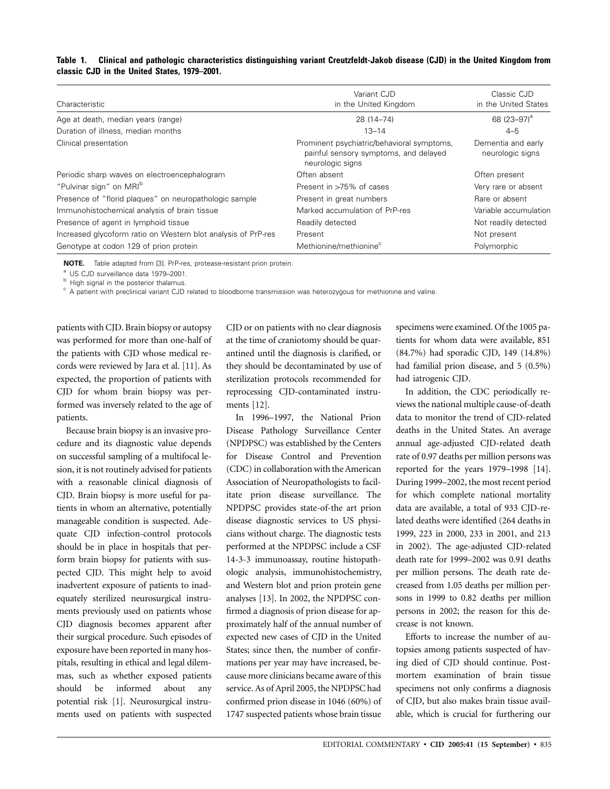| Table 1. | Clinical and pathologic characteristics distinguishing variant Creutzfeldt-Jakob disease (CJD) in the United Kingdom from |  |  |  |
|----------|---------------------------------------------------------------------------------------------------------------------------|--|--|--|
|          | classic CJD in the United States, 1979–2001.                                                                              |  |  |  |

| Characteristic                                                | Variant CJD<br>in the United Kingdom                                                                    | Classic CJD<br>in the United States    |
|---------------------------------------------------------------|---------------------------------------------------------------------------------------------------------|----------------------------------------|
| Age at death, median years (range)                            | 28 (14-74)                                                                                              | 68 (23-97) <sup>a</sup>                |
| Duration of illness, median months                            | $13 - 14$                                                                                               | $4 - 5$                                |
| Clinical presentation                                         | Prominent psychiatric/behavioral symptoms,<br>painful sensory symptoms, and delayed<br>neurologic signs | Dementia and early<br>neurologic signs |
| Periodic sharp waves on electroencephalogram                  | Often absent                                                                                            | Often present                          |
| "Pulvinar sign" on MRI <sup>b</sup>                           | Present in >75% of cases                                                                                | Very rare or absent                    |
| Presence of "florid plaques" on neuropathologic sample        | Present in great numbers                                                                                | Rare or absent                         |
| Immunohistochemical analysis of brain tissue                  | Marked accumulation of PrP-res                                                                          | Variable accumulation                  |
| Presence of agent in lymphoid tissue                          | Readily detected                                                                                        | Not readily detected                   |
| Increased glycoform ratio on Western blot analysis of PrP-res | Present                                                                                                 | Not present                            |
| Genotype at codon 129 of prion protein                        | Methionine/methionine <sup>c</sup>                                                                      | Polymorphic                            |

**NOTE.** Table adapted from [3]. PrP-res, protease-resistant prion protein.

<sup>a</sup> US CJD surveillance data 1979–2001.<br><sup>b</sup> High signal in the posterior thalamus.

c A patient with preclinical variant CJD related to bloodborne transmission was heterozygous for methionine and valine.

patients with CJD. Brain biopsy or autopsy was performed for more than one-half of the patients with CJD whose medical records were reviewed by Jara et al. [11]. As expected, the proportion of patients with CJD for whom brain biopsy was performed was inversely related to the age of patients.

Because brain biopsy is an invasive procedure and its diagnostic value depends on successful sampling of a multifocal lesion, it is not routinely advised for patients with a reasonable clinical diagnosis of CJD. Brain biopsy is more useful for patients in whom an alternative, potentially manageable condition is suspected. Adequate CJD infection-control protocols should be in place in hospitals that perform brain biopsy for patients with suspected CJD. This might help to avoid inadvertent exposure of patients to inadequately sterilized neurosurgical instruments previously used on patients whose CJD diagnosis becomes apparent after their surgical procedure. Such episodes of exposure have been reported in many hospitals, resulting in ethical and legal dilemmas, such as whether exposed patients should be informed about any potential risk [1]. Neurosurgical instruments used on patients with suspected CJD or on patients with no clear diagnosis at the time of craniotomy should be quarantined until the diagnosis is clarified, or they should be decontaminated by use of sterilization protocols recommended for reprocessing CJD-contaminated instruments [12].

In 1996–1997, the National Prion Disease Pathology Surveillance Center (NPDPSC) was established by the Centers for Disease Control and Prevention (CDC) in collaboration with the American Association of Neuropathologists to facilitate prion disease surveillance. The NPDPSC provides state-of-the art prion disease diagnostic services to US physicians without charge. The diagnostic tests performed at the NPDPSC include a CSF 14-3-3 immunoassay, routine histopathologic analysis, immunohistochemistry, and Western blot and prion protein gene analyses [13]. In 2002, the NPDPSC confirmed a diagnosis of prion disease for approximately half of the annual number of expected new cases of CJD in the United States; since then, the number of confirmations per year may have increased, because more clinicians became aware of this service. As of April 2005, the NPDPSC had confirmed prion disease in 1046 (60%) of 1747 suspected patients whose brain tissue specimens were examined. Of the 1005 patients for whom data were available, 851 (84.7%) had sporadic CJD, 149 (14.8%) had familial prion disease, and 5 (0.5%) had iatrogenic CJD.

In addition, the CDC periodically reviews the national multiple cause-of-death data to monitor the trend of CJD-related deaths in the United States. An average annual age-adjusted CJD-related death rate of 0.97 deaths per million persons was reported for the years 1979–1998 [14]. During 1999–2002, the most recent period for which complete national mortality data are available, a total of 933 CJD-related deaths were identified (264 deaths in 1999, 223 in 2000, 233 in 2001, and 213 in 2002). The age-adjusted CJD-related death rate for 1999–2002 was 0.91 deaths per million persons. The death rate decreased from 1.05 deaths per million persons in 1999 to 0.82 deaths per million persons in 2002; the reason for this decrease is not known.

Efforts to increase the number of autopsies among patients suspected of having died of CJD should continue. Postmortem examination of brain tissue specimens not only confirms a diagnosis of CJD, but also makes brain tissue available, which is crucial for furthering our